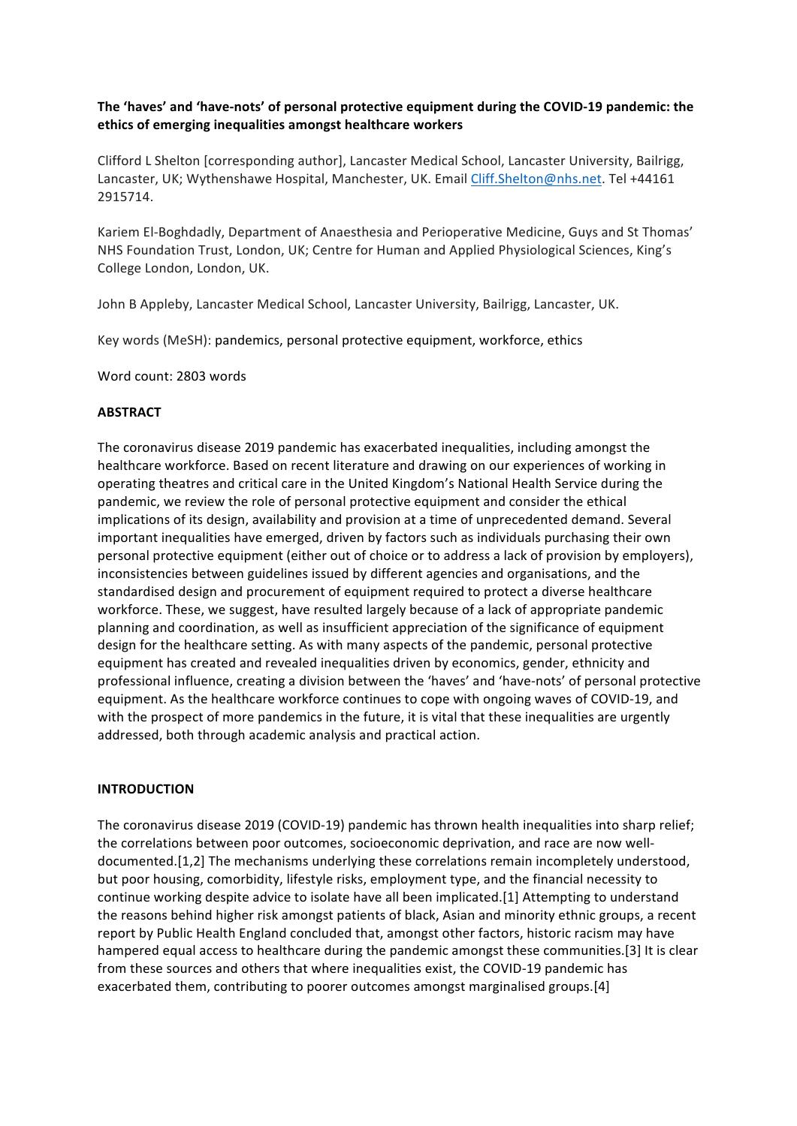## The 'haves' and 'have-nots' of personal protective equipment during the COVID-19 pandemic: the ethics of emerging inequalities amongst healthcare workers

Clifford L Shelton [corresponding author], Lancaster Medical School, Lancaster University, Bailrigg, Lancaster, UK; Wythenshawe Hospital, Manchester, UK. Email Cliff.Shelton@nhs.net. Tel +44161 2915714.

Kariem El-Boghdadly, Department of Anaesthesia and Perioperative Medicine, Guys and St Thomas' NHS Foundation Trust, London, UK; Centre for Human and Applied Physiological Sciences, King's College London, London, UK.

John B Appleby, Lancaster Medical School, Lancaster University, Bailrigg, Lancaster, UK.

Key words (MeSH): pandemics, personal protective equipment, workforce, ethics

Word count: 2803 words

#### **ABSTRACT**

The coronavirus disease 2019 pandemic has exacerbated inequalities, including amongst the healthcare workforce. Based on recent literature and drawing on our experiences of working in operating theatres and critical care in the United Kingdom's National Health Service during the pandemic, we review the role of personal protective equipment and consider the ethical implications of its design, availability and provision at a time of unprecedented demand. Several important inequalities have emerged, driven by factors such as individuals purchasing their own personal protective equipment (either out of choice or to address a lack of provision by employers), inconsistencies between guidelines issued by different agencies and organisations, and the standardised design and procurement of equipment required to protect a diverse healthcare workforce. These, we suggest, have resulted largely because of a lack of appropriate pandemic planning and coordination, as well as insufficient appreciation of the significance of equipment design for the healthcare setting. As with many aspects of the pandemic, personal protective equipment has created and revealed inequalities driven by economics, gender, ethnicity and professional influence, creating a division between the 'haves' and 'have-nots' of personal protective equipment. As the healthcare workforce continues to cope with ongoing waves of COVID-19, and with the prospect of more pandemics in the future, it is vital that these inequalities are urgently addressed, both through academic analysis and practical action.

#### **INTRODUCTION**

The coronavirus disease 2019 (COVID-19) pandemic has thrown health inequalities into sharp relief; the correlations between poor outcomes, socioeconomic deprivation, and race are now welldocumented.[1,2] The mechanisms underlying these correlations remain incompletely understood, but poor housing, comorbidity, lifestyle risks, employment type, and the financial necessity to continue working despite advice to isolate have all been implicated.[1] Attempting to understand the reasons behind higher risk amongst patients of black, Asian and minority ethnic groups, a recent report by Public Health England concluded that, amongst other factors, historic racism may have hampered equal access to healthcare during the pandemic amongst these communities.[3] It is clear from these sources and others that where inequalities exist, the COVID-19 pandemic has exacerbated them, contributing to poorer outcomes amongst marginalised groups.[4]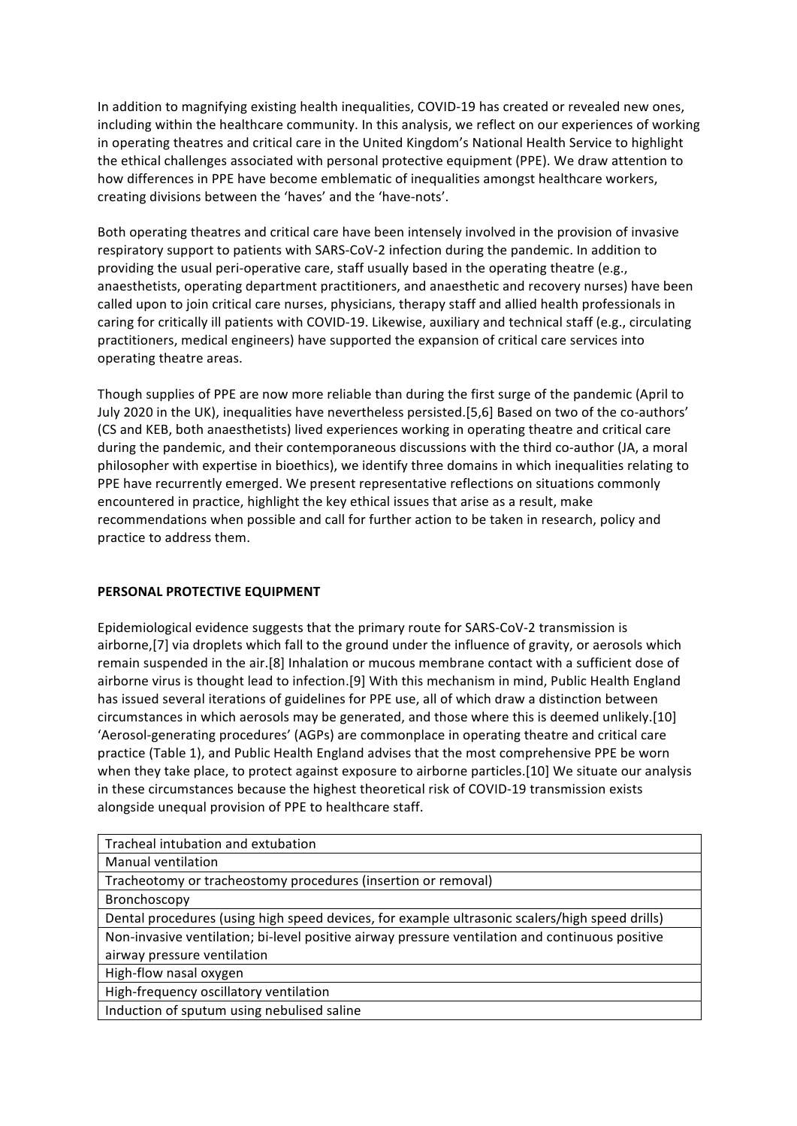In addition to magnifying existing health inequalities, COVID-19 has created or revealed new ones, including within the healthcare community. In this analysis, we reflect on our experiences of working in operating theatres and critical care in the United Kingdom's National Health Service to highlight the ethical challenges associated with personal protective equipment (PPE). We draw attention to how differences in PPE have become emblematic of inequalities amongst healthcare workers, creating divisions between the 'haves' and the 'have-nots'.

Both operating theatres and critical care have been intensely involved in the provision of invasive respiratory support to patients with SARS-CoV-2 infection during the pandemic. In addition to providing the usual peri-operative care, staff usually based in the operating theatre (e.g., anaesthetists, operating department practitioners, and anaesthetic and recovery nurses) have been called upon to join critical care nurses, physicians, therapy staff and allied health professionals in caring for critically ill patients with COVID-19. Likewise, auxiliary and technical staff (e.g., circulating practitioners, medical engineers) have supported the expansion of critical care services into operating theatre areas.

Though supplies of PPE are now more reliable than during the first surge of the pandemic (April to July 2020 in the UK), inequalities have nevertheless persisted.[5,6] Based on two of the co-authors' (CS and KEB, both anaesthetists) lived experiences working in operating theatre and critical care during the pandemic, and their contemporaneous discussions with the third co-author (JA, a moral philosopher with expertise in bioethics), we identify three domains in which inequalities relating to PPE have recurrently emerged. We present representative reflections on situations commonly encountered in practice, highlight the key ethical issues that arise as a result, make recommendations when possible and call for further action to be taken in research, policy and practice to address them.

# **PERSONAL PROTECTIVE EQUIPMENT**

Epidemiological evidence suggests that the primary route for SARS-CoV-2 transmission is airborne, [7] via droplets which fall to the ground under the influence of gravity, or aerosols which remain suspended in the air.[8] Inhalation or mucous membrane contact with a sufficient dose of airborne virus is thought lead to infection.[9] With this mechanism in mind, Public Health England has issued several iterations of guidelines for PPE use, all of which draw a distinction between circumstances in which aerosols may be generated, and those where this is deemed unlikely.[10] 'Aerosol-generating procedures' (AGPs) are commonplace in operating theatre and critical care practice (Table 1), and Public Health England advises that the most comprehensive PPE be worn when they take place, to protect against exposure to airborne particles.[10] We situate our analysis in these circumstances because the highest theoretical risk of COVID-19 transmission exists alongside unequal provision of PPE to healthcare staff.

| Tracheal intubation and extubation                                                              |
|-------------------------------------------------------------------------------------------------|
| Manual ventilation                                                                              |
| Tracheotomy or tracheostomy procedures (insertion or removal)                                   |
| Bronchoscopy                                                                                    |
| Dental procedures (using high speed devices, for example ultrasonic scalers/high speed drills)  |
| Non-invasive ventilation; bi-level positive airway pressure ventilation and continuous positive |
| airway pressure ventilation                                                                     |
| High-flow nasal oxygen                                                                          |
| High-frequency oscillatory ventilation                                                          |
| Induction of sputum using nebulised saline                                                      |
|                                                                                                 |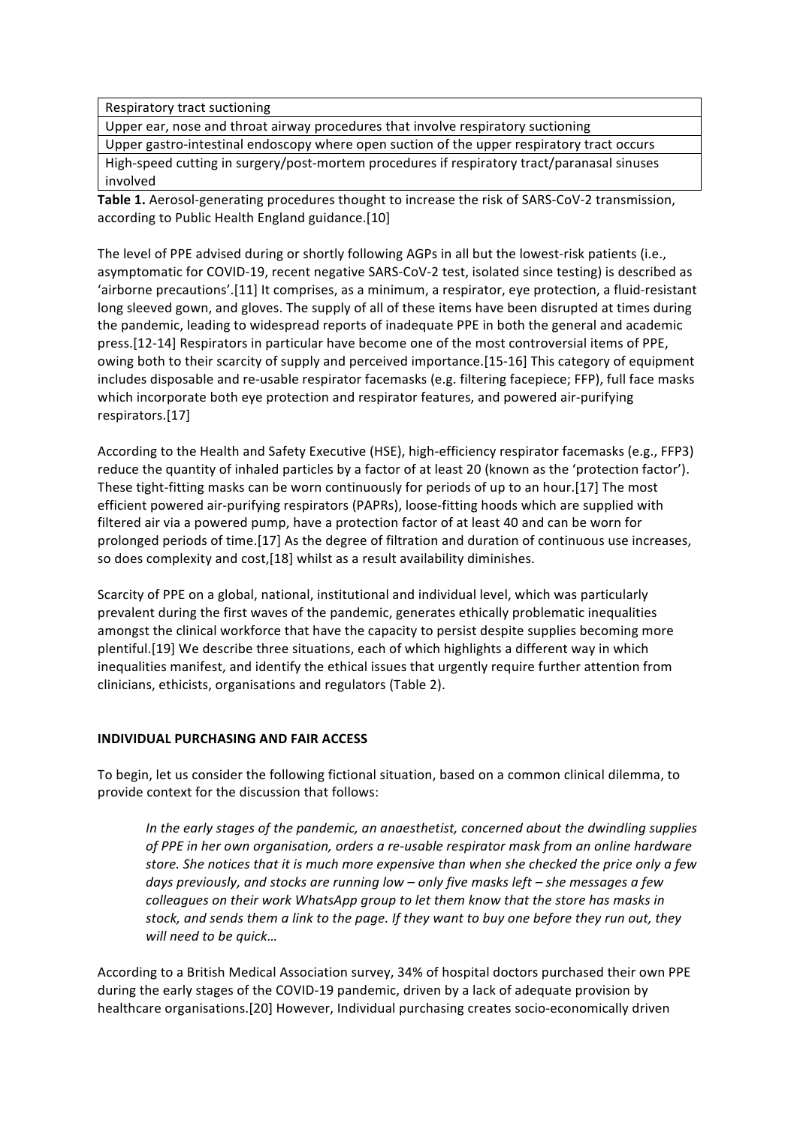Respiratory tract suctioning

Upper ear, nose and throat airway procedures that involve respiratory suctioning

Upper gastro-intestinal endoscopy where open suction of the upper respiratory tract occurs High-speed cutting in surgery/post-mortem procedures if respiratory tract/paranasal sinuses involved

Table 1. Aerosol-generating procedures thought to increase the risk of SARS-CoV-2 transmission, according to Public Health England guidance.[10]

The level of PPE advised during or shortly following AGPs in all but the lowest-risk patients (i.e., asymptomatic for COVID-19, recent negative SARS-CoV-2 test, isolated since testing) is described as 'airborne precautions'.[11] It comprises, as a minimum, a respirator, eye protection, a fluid-resistant long sleeved gown, and gloves. The supply of all of these items have been disrupted at times during the pandemic, leading to widespread reports of inadequate PPE in both the general and academic press.[12-14] Respirators in particular have become one of the most controversial items of PPE, owing both to their scarcity of supply and perceived importance.[15-16] This category of equipment includes disposable and re-usable respirator facemasks (e.g. filtering facepiece; FFP), full face masks which incorporate both eye protection and respirator features, and powered air-purifying respirators.[17]

According to the Health and Safety Executive (HSE), high-efficiency respirator facemasks (e.g., FFP3) reduce the quantity of inhaled particles by a factor of at least 20 (known as the 'protection factor'). These tight-fitting masks can be worn continuously for periods of up to an hour.[17] The most efficient powered air-purifying respirators (PAPRs), loose-fitting hoods which are supplied with filtered air via a powered pump, have a protection factor of at least 40 and can be worn for prolonged periods of time.[17] As the degree of filtration and duration of continuous use increases, so does complexity and cost,[18] whilst as a result availability diminishes.

Scarcity of PPE on a global, national, institutional and individual level, which was particularly prevalent during the first waves of the pandemic, generates ethically problematic inequalities amongst the clinical workforce that have the capacity to persist despite supplies becoming more plentiful.[19] We describe three situations, each of which highlights a different way in which inequalities manifest, and identify the ethical issues that urgently require further attention from clinicians, ethicists, organisations and regulators (Table 2).

#### **INDIVIDUAL PURCHASING AND FAIR ACCESS**

To begin, let us consider the following fictional situation, based on a common clinical dilemma, to provide context for the discussion that follows:

In the early stages of the pandemic, an anaesthetist, concerned about the dwindling supplies of PPE in her own organisation, orders a re-usable respirator mask from an online hardware store. She notices that it is much more expensive than when she checked the price only a few days previously, and stocks are running low – only five masks left – she messages a few *colleagues* on their work WhatsApp group to let them know that the store has masks in stock, and sends them a link to the page. If they want to buy one before they run out, they *will need to be quick...* 

According to a British Medical Association survey, 34% of hospital doctors purchased their own PPE during the early stages of the COVID-19 pandemic, driven by a lack of adequate provision by healthcare organisations.[20] However, Individual purchasing creates socio-economically driven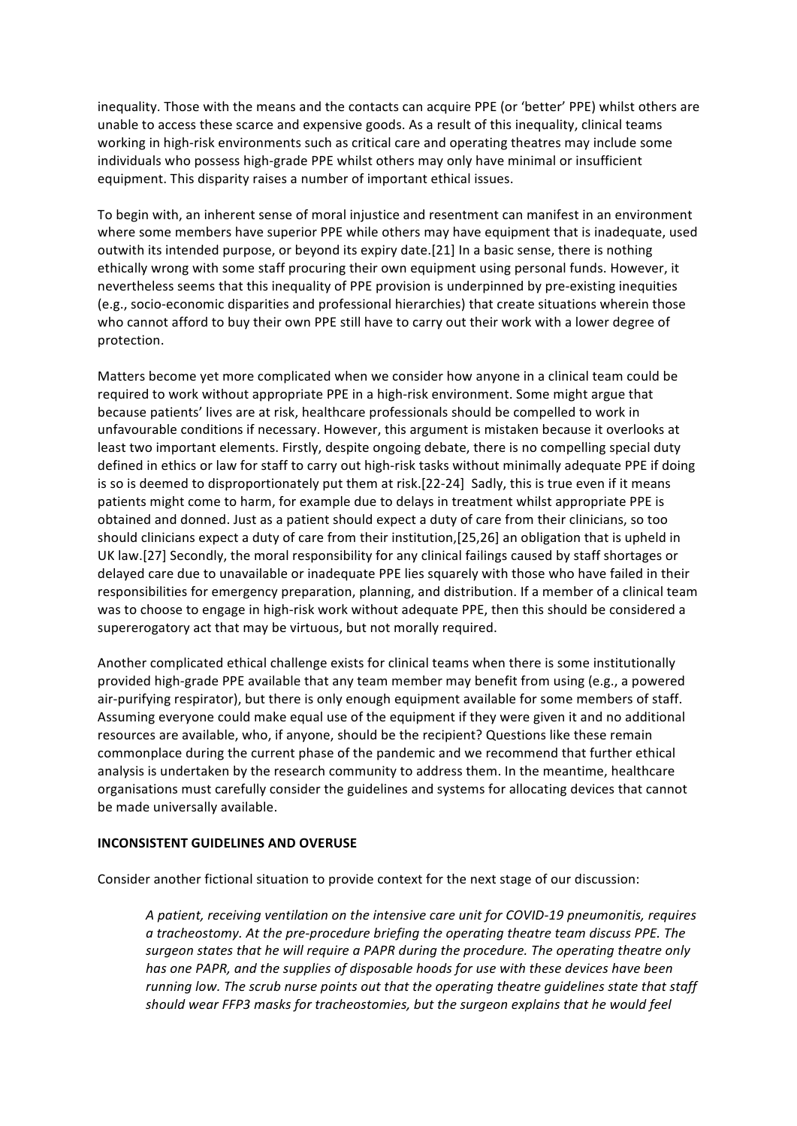inequality. Those with the means and the contacts can acquire PPE (or 'better' PPE) whilst others are unable to access these scarce and expensive goods. As a result of this inequality, clinical teams working in high-risk environments such as critical care and operating theatres may include some individuals who possess high-grade PPE whilst others may only have minimal or insufficient equipment. This disparity raises a number of important ethical issues.

To begin with, an inherent sense of moral injustice and resentment can manifest in an environment where some members have superior PPE while others may have equipment that is inadequate, used outwith its intended purpose, or beyond its expiry date.[21] In a basic sense, there is nothing ethically wrong with some staff procuring their own equipment using personal funds. However, it nevertheless seems that this inequality of PPE provision is underpinned by pre-existing inequities (e.g., socio-economic disparities and professional hierarchies) that create situations wherein those who cannot afford to buy their own PPE still have to carry out their work with a lower degree of protection. 

Matters become yet more complicated when we consider how anyone in a clinical team could be required to work without appropriate PPE in a high-risk environment. Some might argue that because patients' lives are at risk, healthcare professionals should be compelled to work in unfavourable conditions if necessary. However, this argument is mistaken because it overlooks at least two important elements. Firstly, despite ongoing debate, there is no compelling special duty defined in ethics or law for staff to carry out high-risk tasks without minimally adequate PPE if doing is so is deemed to disproportionately put them at risk.[22-24] Sadly, this is true even if it means patients might come to harm, for example due to delays in treatment whilst appropriate PPE is obtained and donned. Just as a patient should expect a duty of care from their clinicians, so too should clinicians expect a duty of care from their institution,[25,26] an obligation that is upheld in UK law.[27] Secondly, the moral responsibility for any clinical failings caused by staff shortages or delayed care due to unavailable or inadequate PPE lies squarely with those who have failed in their responsibilities for emergency preparation, planning, and distribution. If a member of a clinical team was to choose to engage in high-risk work without adequate PPE, then this should be considered a supererogatory act that may be virtuous, but not morally required.

Another complicated ethical challenge exists for clinical teams when there is some institutionally provided high-grade PPE available that any team member may benefit from using (e.g., a powered air-purifying respirator), but there is only enough equipment available for some members of staff. Assuming everyone could make equal use of the equipment if they were given it and no additional resources are available, who, if anyone, should be the recipient? Questions like these remain commonplace during the current phase of the pandemic and we recommend that further ethical analysis is undertaken by the research community to address them. In the meantime, healthcare organisations must carefully consider the guidelines and systems for allocating devices that cannot be made universally available.

## **INCONSISTENT GUIDELINES AND OVERUSE**

Consider another fictional situation to provide context for the next stage of our discussion:

A patient, receiving ventilation on the intensive care unit for COVID-19 pneumonitis, requires *a* tracheostomy. At the pre-procedure briefing the operating theatre team discuss PPE. The surgeon states that he will require a PAPR during the procedure. The operating theatre only has one PAPR, and the supplies of disposable hoods for use with these devices have been *running low.* The scrub nurse points out that the operating theatre quidelines state that staff should wear FFP3 masks for tracheostomies, but the surgeon explains that he would feel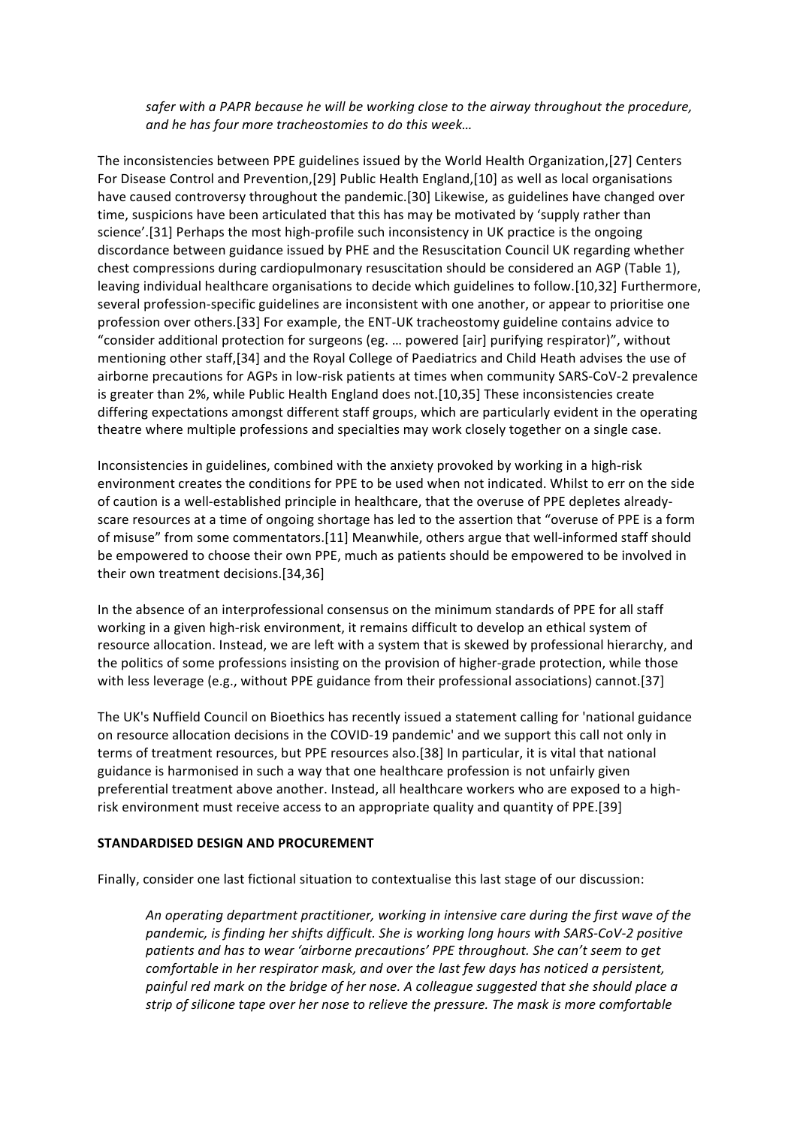safer with a PAPR because he will be working close to the airway throughout the procedure, *and he has four more tracheostomies to do this week…*

The inconsistencies between PPE guidelines issued by the World Health Organization, [27] Centers For Disease Control and Prevention,[29] Public Health England,[10] as well as local organisations have caused controversy throughout the pandemic.[30] Likewise, as guidelines have changed over time, suspicions have been articulated that this has may be motivated by 'supply rather than science'.[31] Perhaps the most high-profile such inconsistency in UK practice is the ongoing discordance between guidance issued by PHE and the Resuscitation Council UK regarding whether chest compressions during cardiopulmonary resuscitation should be considered an AGP (Table 1), leaving individual healthcare organisations to decide which guidelines to follow.[10,32] Furthermore, several profession-specific guidelines are inconsistent with one another, or appear to prioritise one profession over others.[33] For example, the ENT-UK tracheostomy guideline contains advice to "consider additional protection for surgeons (eg. ... powered [air] purifying respirator)", without mentioning other staff,[34] and the Royal College of Paediatrics and Child Heath advises the use of airborne precautions for AGPs in low-risk patients at times when community SARS-CoV-2 prevalence is greater than 2%, while Public Health England does not.[10,35] These inconsistencies create differing expectations amongst different staff groups, which are particularly evident in the operating theatre where multiple professions and specialties may work closely together on a single case.

Inconsistencies in guidelines, combined with the anxiety provoked by working in a high-risk environment creates the conditions for PPE to be used when not indicated. Whilst to err on the side of caution is a well-established principle in healthcare, that the overuse of PPE depletes alreadyscare resources at a time of ongoing shortage has led to the assertion that "overuse of PPE is a form of misuse" from some commentators.[11] Meanwhile, others argue that well-informed staff should be empowered to choose their own PPE, much as patients should be empowered to be involved in their own treatment decisions.[34,36]

In the absence of an interprofessional consensus on the minimum standards of PPE for all staff working in a given high-risk environment, it remains difficult to develop an ethical system of resource allocation. Instead, we are left with a system that is skewed by professional hierarchy, and the politics of some professions insisting on the provision of higher-grade protection, while those with less leverage (e.g., without PPE guidance from their professional associations) cannot.[37]

The UK's Nuffield Council on Bioethics has recently issued a statement calling for 'national guidance on resource allocation decisions in the COVID-19 pandemic' and we support this call not only in terms of treatment resources, but PPE resources also.[38] In particular, it is vital that national guidance is harmonised in such a way that one healthcare profession is not unfairly given preferential treatment above another. Instead, all healthcare workers who are exposed to a highrisk environment must receive access to an appropriate quality and quantity of PPE.[39]

## **STANDARDISED DESIGN AND PROCUREMENT**

Finally, consider one last fictional situation to contextualise this last stage of our discussion:

An operating department practitioner, working in intensive care during the first wave of the pandemic, is finding her shifts difficult. She is working long hours with SARS-CoV-2 positive patients and has to wear 'airborne precautions' PPE throughout. She can't seem to get *comfortable in her respirator mask, and over the last few days has noticed a persistent,* painful red mark on the bridge of her nose. A colleague suggested that she should place a strip of silicone tape over her nose to relieve the pressure. The mask is more comfortable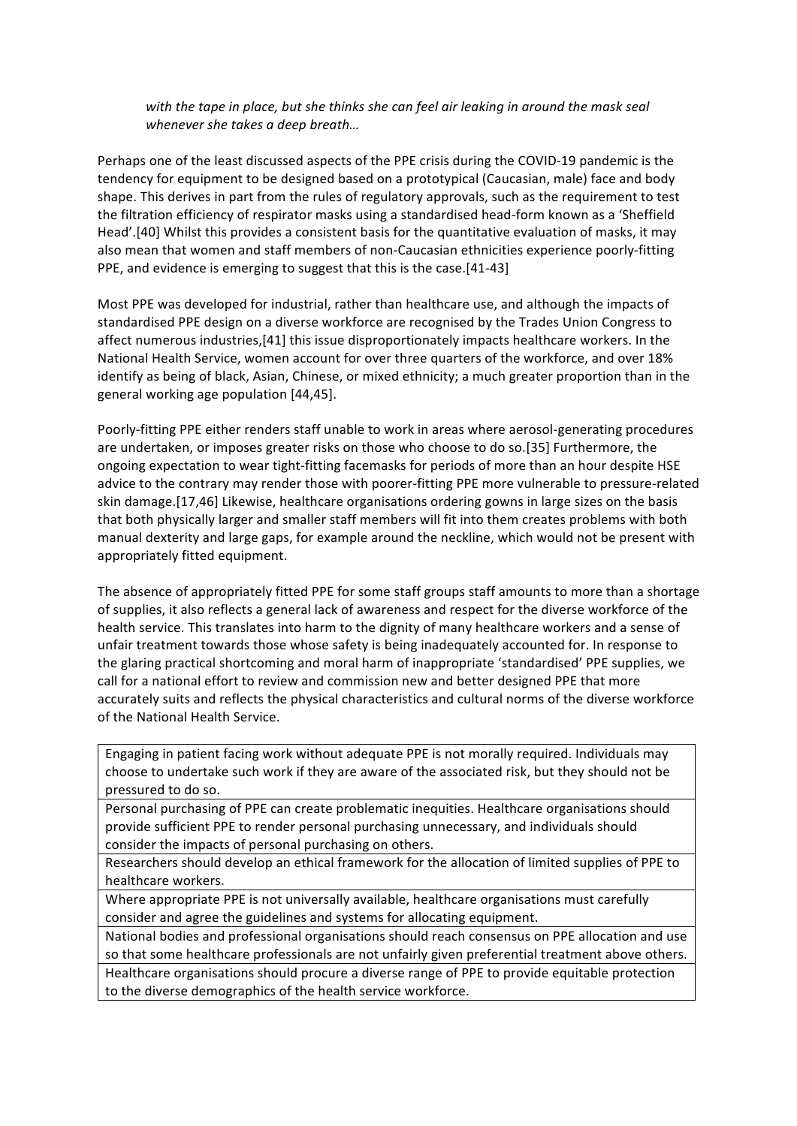## with the tape in place, but she thinks she can feel air leaking in around the mask seal whenever she takes a deep breath...

Perhaps one of the least discussed aspects of the PPE crisis during the COVID-19 pandemic is the tendency for equipment to be designed based on a prototypical (Caucasian, male) face and body shape. This derives in part from the rules of regulatory approvals, such as the requirement to test the filtration efficiency of respirator masks using a standardised head-form known as a 'Sheffield Head'.[40] Whilst this provides a consistent basis for the quantitative evaluation of masks, it may also mean that women and staff members of non-Caucasian ethnicities experience poorly-fitting PPE, and evidence is emerging to suggest that this is the case.[41-43]

Most PPE was developed for industrial, rather than healthcare use, and although the impacts of standardised PPE design on a diverse workforce are recognised by the Trades Union Congress to affect numerous industries,[41] this issue disproportionately impacts healthcare workers. In the National Health Service, women account for over three quarters of the workforce, and over 18% identify as being of black, Asian, Chinese, or mixed ethnicity; a much greater proportion than in the general working age population [44,45].

Poorly-fitting PPE either renders staff unable to work in areas where aerosol-generating procedures are undertaken, or imposes greater risks on those who choose to do so.[35] Furthermore, the ongoing expectation to wear tight-fitting facemasks for periods of more than an hour despite HSE advice to the contrary may render those with poorer-fitting PPE more vulnerable to pressure-related skin damage.[17,46] Likewise, healthcare organisations ordering gowns in large sizes on the basis that both physically larger and smaller staff members will fit into them creates problems with both manual dexterity and large gaps, for example around the neckline, which would not be present with appropriately fitted equipment.

The absence of appropriately fitted PPE for some staff groups staff amounts to more than a shortage of supplies, it also reflects a general lack of awareness and respect for the diverse workforce of the health service. This translates into harm to the dignity of many healthcare workers and a sense of unfair treatment towards those whose safety is being inadequately accounted for. In response to the glaring practical shortcoming and moral harm of inappropriate 'standardised' PPE supplies, we call for a national effort to review and commission new and better designed PPE that more accurately suits and reflects the physical characteristics and cultural norms of the diverse workforce of the National Health Service.

Engaging in patient facing work without adequate PPE is not morally required. Individuals may choose to undertake such work if they are aware of the associated risk, but they should not be pressured to do so.

Personal purchasing of PPE can create problematic inequities. Healthcare organisations should provide sufficient PPE to render personal purchasing unnecessary, and individuals should consider the impacts of personal purchasing on others.

Researchers should develop an ethical framework for the allocation of limited supplies of PPE to healthcare workers.

Where appropriate PPE is not universally available, healthcare organisations must carefully consider and agree the guidelines and systems for allocating equipment.

National bodies and professional organisations should reach consensus on PPE allocation and use so that some healthcare professionals are not unfairly given preferential treatment above others.

Healthcare organisations should procure a diverse range of PPE to provide equitable protection to the diverse demographics of the health service workforce.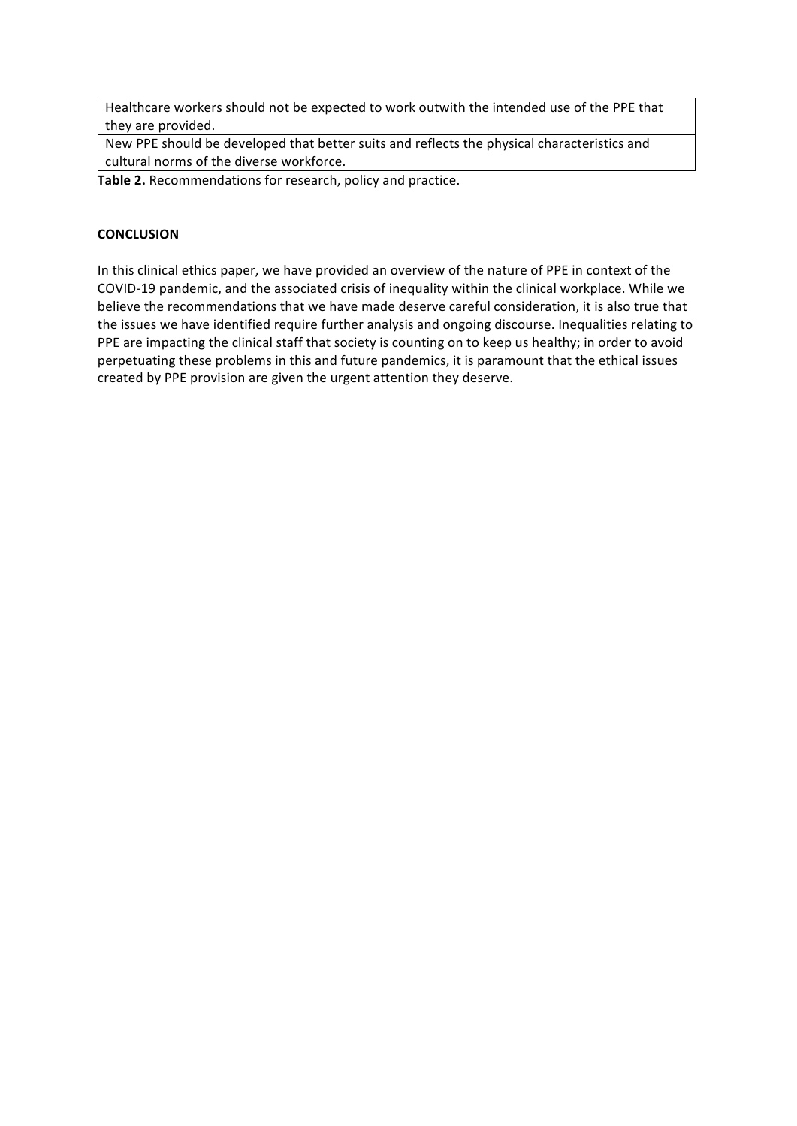Healthcare workers should not be expected to work outwith the intended use of the PPE that they are provided.

New PPE should be developed that better suits and reflects the physical characteristics and cultural norms of the diverse workforce.

Table 2. Recommendations for research, policy and practice.

#### **CONCLUSION**

In this clinical ethics paper, we have provided an overview of the nature of PPE in context of the COVID-19 pandemic, and the associated crisis of inequality within the clinical workplace. While we believe the recommendations that we have made deserve careful consideration, it is also true that the issues we have identified require further analysis and ongoing discourse. Inequalities relating to PPE are impacting the clinical staff that society is counting on to keep us healthy; in order to avoid perpetuating these problems in this and future pandemics, it is paramount that the ethical issues created by PPE provision are given the urgent attention they deserve.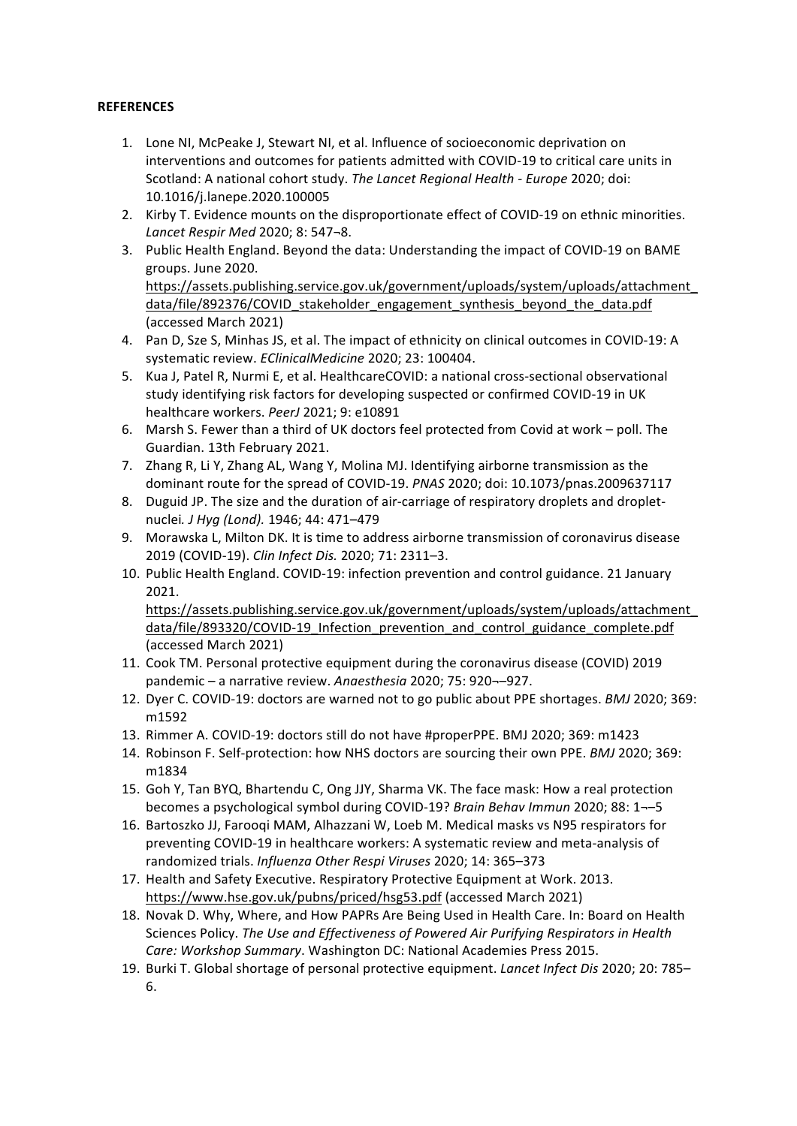## **REFERENCES**

- 1. Lone NI, McPeake J, Stewart NI, et al. Influence of socioeconomic deprivation on interventions and outcomes for patients admitted with COVID-19 to critical care units in Scotland: A national cohort study. The Lancet Regional Health - Europe 2020; doi: 10.1016/j.lanepe.2020.100005
- 2. Kirby T. Evidence mounts on the disproportionate effect of COVID-19 on ethnic minorities. *Lancet Respir Med* 2020; 8: 547¬8.
- 3. Public Health England. Beyond the data: Understanding the impact of COVID-19 on BAME groups. June 2020.

https://assets.publishing.service.gov.uk/government/uploads/system/uploads/attachment\_ data/file/892376/COVID\_stakeholder\_engagement\_synthesis\_beyond\_the\_data.pdf (accessed March 2021)

- 4. Pan D, Sze S, Minhas JS, et al. The impact of ethnicity on clinical outcomes in COVID-19: A systematic review. *EClinicalMedicine* 2020; 23: 100404.
- 5. Kua J, Patel R, Nurmi E, et al. HealthcareCOVID: a national cross-sectional observational study identifying risk factors for developing suspected or confirmed COVID-19 in UK healthcare workers. PeerJ 2021; 9: e10891
- 6. Marsh S. Fewer than a third of UK doctors feel protected from Covid at work poll. The Guardian. 13th February 2021.
- 7. Zhang R, Li Y, Zhang AL, Wang Y, Molina MJ. Identifying airborne transmission as the dominant route for the spread of COVID-19. *PNAS* 2020; doi: 10.1073/pnas.2009637117
- 8. Duguid JP. The size and the duration of air-carriage of respiratory droplets and dropletnuclei. J Hyg (Lond). 1946; 44: 471-479
- 9. Morawska L, Milton DK. It is time to address airborne transmission of coronavirus disease 2019 (COVID-19). *Clin Infect Dis.* 2020; 71: 2311–3.
- 10. Public Health England. COVID-19: infection prevention and control guidance. 21 January 2021.

https://assets.publishing.service.gov.uk/government/uploads/system/uploads/attachment\_ data/file/893320/COVID-19\_Infection\_prevention\_and\_control\_guidance\_complete.pdf (accessed March 2021) 

- 11. Cook TM. Personal protective equipment during the coronavirus disease (COVID) 2019 pandemic – a narrative review. Anaesthesia 2020; 75: 920--927.
- 12. Dyer C. COVID-19: doctors are warned not to go public about PPE shortages. *BMJ* 2020; 369: m1592
- 13. Rimmer A. COVID-19: doctors still do not have #properPPE. BMJ 2020; 369: m1423
- 14. Robinson F. Self-protection: how NHS doctors are sourcing their own PPE. *BMJ* 2020; 369: m1834
- 15. Goh Y, Tan BYQ, Bhartendu C, Ong JJY, Sharma VK. The face mask: How a real protection becomes a psychological symbol during COVID-19? *Brain Behav Immun* 2020; 88: 1--5
- 16. Bartoszko JJ, Farooqi MAM, Alhazzani W, Loeb M. Medical masks vs N95 respirators for preventing COVID-19 in healthcare workers: A systematic review and meta-analysis of randomized trials. *Influenza Other Respi Viruses* 2020; 14: 365-373
- 17. Health and Safety Executive. Respiratory Protective Equipment at Work. 2013. https://www.hse.gov.uk/pubns/priced/hsg53.pdf (accessed March 2021)
- 18. Novak D. Why, Where, and How PAPRs Are Being Used in Health Care. In: Board on Health Sciences Policy. The Use and Effectiveness of Powered Air Purifying Respirators in Health Care: Workshop Summary. Washington DC: National Academies Press 2015.
- 19. Burki T. Global shortage of personal protective equipment. *Lancet Infect Dis* 2020; 20: 785– 6.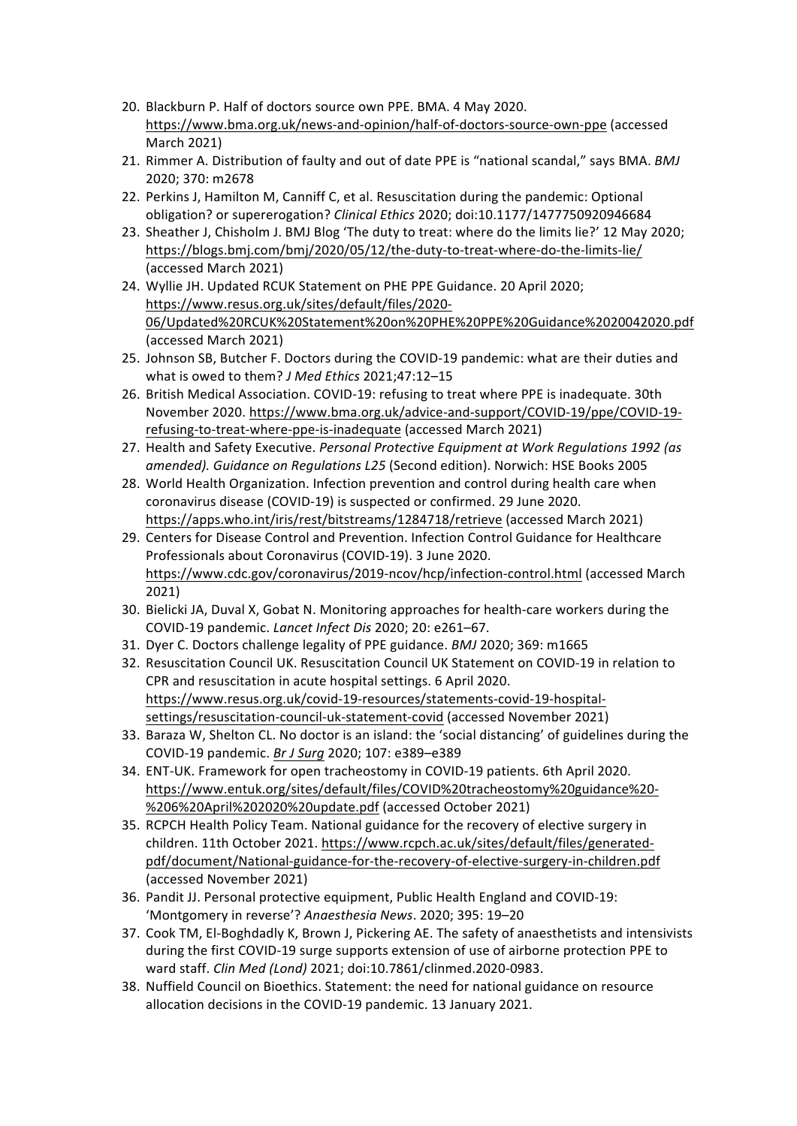- 20. Blackburn P. Half of doctors source own PPE. BMA. 4 May 2020. https://www.bma.org.uk/news-and-opinion/half-of-doctors-source-own-ppe (accessed March 2021)
- 21. Rimmer A. Distribution of faulty and out of date PPE is "national scandal," says BMA. *BMJ* 2020; 370: m2678
- 22. Perkins J, Hamilton M, Canniff C, et al. Resuscitation during the pandemic: Optional obligation? or supererogation? *Clinical Ethics* 2020; doi:10.1177/1477750920946684
- 23. Sheather J, Chisholm J. BMJ Blog 'The duty to treat: where do the limits lie?' 12 May 2020; https://blogs.bmj.com/bmj/2020/05/12/the-duty-to-treat-where-do-the-limits-lie/ (accessed March 2021)
- 24. Wyllie JH. Updated RCUK Statement on PHE PPE Guidance. 20 April 2020; https://www.resus.org.uk/sites/default/files/2020- 06/Updated%20RCUK%20Statement%20on%20PHE%20PPE%20Guidance%2020042020.pdf (accessed March 2021)
- 25. Johnson SB, Butcher F. Doctors during the COVID-19 pandemic: what are their duties and what is owed to them? *J Med Ethics* 2021;47:12-15
- 26. British Medical Association. COVID-19: refusing to treat where PPE is inadequate. 30th November 2020. https://www.bma.org.uk/advice-and-support/COVID-19/ppe/COVID-19refusing-to-treat-where-ppe-is-inadequate (accessed March 2021)
- 27. Health and Safety Executive. *Personal Protective Equipment at Work Regulations 1992 (as* amended). Guidance on Regulations L25 (Second edition). Norwich: HSE Books 2005
- 28. World Health Organization. Infection prevention and control during health care when coronavirus disease (COVID-19) is suspected or confirmed. 29 June 2020. https://apps.who.int/iris/rest/bitstreams/1284718/retrieve (accessed March 2021)
- 29. Centers for Disease Control and Prevention. Infection Control Guidance for Healthcare Professionals about Coronavirus (COVID-19). 3 June 2020. https://www.cdc.gov/coronavirus/2019-ncov/hcp/infection-control.html (accessed March 2021)
- 30. Bielicki JA, Duval X, Gobat N. Monitoring approaches for health-care workers during the COVID-19 pandemic. *Lancet Infect Dis* 2020; 20: e261–67.
- 31. Dyer C. Doctors challenge legality of PPE guidance. *BMJ* 2020; 369: m1665
- 32. Resuscitation Council UK. Resuscitation Council UK Statement on COVID-19 in relation to CPR and resuscitation in acute hospital settings. 6 April 2020. https://www.resus.org.uk/covid-19-resources/statements-covid-19-hospitalsettings/resuscitation-council-uk-statement-covid (accessed November 2021)
- 33. Baraza W, Shelton CL. No doctor is an island: the 'social distancing' of guidelines during the COVID-19 pandemic. *Br J Surg* 2020; 107: e389–e389
- 34. ENT-UK. Framework for open tracheostomy in COVID-19 patients. 6th April 2020. https://www.entuk.org/sites/default/files/COVID%20tracheostomy%20guidance%20- %206%20April%202020%20update.pdf (accessed October 2021)
- 35. RCPCH Health Policy Team. National guidance for the recovery of elective surgery in children. 11th October 2021. https://www.rcpch.ac.uk/sites/default/files/generatedpdf/document/National-guidance-for-the-recovery-of-elective-surgery-in-children.pdf (accessed November 2021)
- 36. Pandit JJ. Personal protective equipment, Public Health England and COVID-19: 'Montgomery in reverse'? Anaesthesia News. 2020; 395: 19-20
- 37. Cook TM, El-Boghdadly K, Brown J, Pickering AE. The safety of anaesthetists and intensivists during the first COVID-19 surge supports extension of use of airborne protection PPE to ward staff. *Clin Med (Lond)* 2021; doi:10.7861/clinmed.2020-0983.
- 38. Nuffield Council on Bioethics. Statement: the need for national guidance on resource allocation decisions in the COVID-19 pandemic. 13 January 2021.